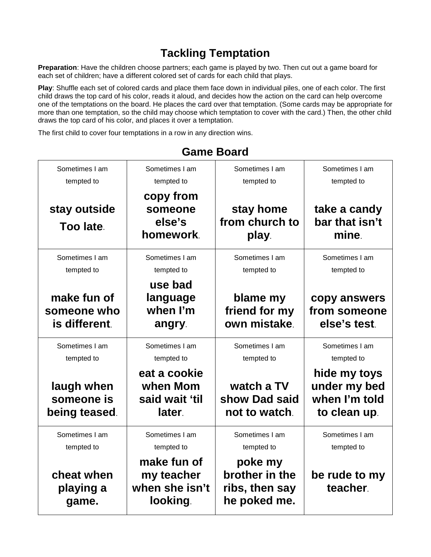## **Tackling Temptation**

**Preparation**: Have the children choose partners; each game is played by two. Then cut out a game board for each set of children; have a different colored set of cards for each child that plays.

**Play**: Shuffle each set of colored cards and place them face down in individual piles, one of each color. The first child draws the top card of his color, reads it aloud, and decides how the action on the card can help overcome one of the temptations on the board. He places the card over that temptation. (Some cards may be appropriate for more than one temptation, so the child may choose which temptation to cover with the card.) Then, the other child draws the top card of his color, and places it over a temptation.

The first child to cover four temptations in a row in any direction wins.

| Sometimes I am                              | Sometimes I am                                          | Sometimes I am                                              | Sometimes I am                                                |
|---------------------------------------------|---------------------------------------------------------|-------------------------------------------------------------|---------------------------------------------------------------|
| tempted to                                  | tempted to                                              | tempted to                                                  | tempted to                                                    |
| stay outside<br>Too late.                   | copy from<br>someone<br>else's<br>homework.             | stay home<br>from church to<br>play.                        | take a candy<br>bar that isn't<br>mine.                       |
| Sometimes I am                              | Sometimes I am                                          | Sometimes I am                                              | Sometimes I am                                                |
| tempted to                                  | tempted to                                              | tempted to                                                  | tempted to                                                    |
| make fun of<br>someone who<br>is different. | use bad<br>language<br>when I'm<br>angry.               | blame my<br>friend for my<br>own mistake.                   | copy answers<br>from someone<br>else's test.                  |
| Sometimes I am                              | Sometimes I am                                          | Sometimes I am                                              | Sometimes I am                                                |
| tempted to                                  | tempted to                                              | tempted to                                                  | tempted to                                                    |
| laugh when<br>someone is<br>being teased.   | eat a cookie<br>when Mom<br>said wait 'til<br>later.    | watch a TV<br>show Dad said<br>not to watch.                | hide my toys<br>under my bed<br>when I'm told<br>to clean up. |
| Sometimes I am                              | Sometimes I am                                          | Sometimes I am                                              | Sometimes I am                                                |
| tempted to                                  | tempted to                                              | tempted to                                                  | tempted to                                                    |
| cheat when<br>playing a<br>game.            | make fun of<br>my teacher<br>when she isn't<br>looking. | poke my<br>brother in the<br>ribs, then say<br>he poked me. | be rude to my<br>teacher.                                     |

## **Game Board**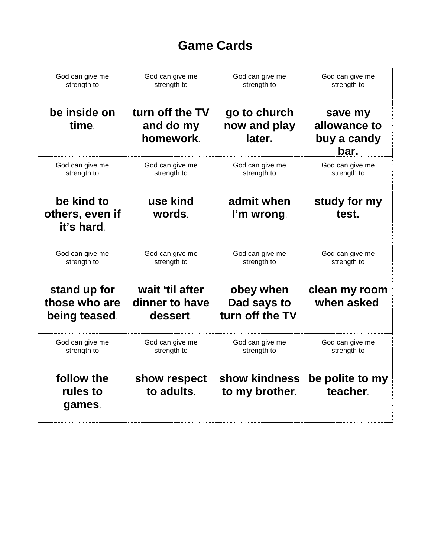## **Game Cards**

| God can give me                                | God can give me                               | God can give me                              | God can give me                                |
|------------------------------------------------|-----------------------------------------------|----------------------------------------------|------------------------------------------------|
| strength to                                    | strength to                                   | strength to                                  | strength to                                    |
| be inside on<br>time.                          | turn off the TV<br>and do my<br>homework.     | go to church<br>now and play<br>later.       | save my<br>allowance to<br>buy a candy<br>bar. |
| God can give me                                | God can give me                               | God can give me                              | God can give me                                |
| strength to                                    | strength to                                   | strength to                                  | strength to                                    |
| be kind to<br>others, even if<br>it's hard.    | use kind<br>words.                            | admit when<br>I'm wrong.                     | study for my<br>test.                          |
| God can give me                                | God can give me                               | God can give me                              | God can give me                                |
| strength to                                    | strength to                                   | strength to                                  | strength to                                    |
| stand up for<br>those who are<br>being teased. | wait 'til after<br>dinner to have<br>dessert. | obey when<br>Dad says to<br>turn off the TV. | clean my room<br>when asked.                   |
| God can give me                                | God can give me                               | God can give me                              | God can give me                                |
| strength to                                    | strength to                                   | strength to                                  | strength to                                    |
| follow the<br>rules to<br>games.               | show respect<br>to adults.                    | show kindness<br>to my brother.              | be polite to my<br>teacher.                    |